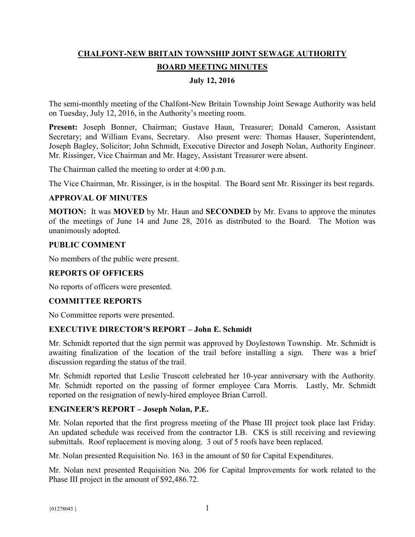# **CHALFONT-NEW BRITAIN TOWNSHIP JOINT SEWAGE AUTHORITY BOARD MEETING MINUTES**

### **July 12, 2016**

The semi-monthly meeting of the Chalfont-New Britain Township Joint Sewage Authority was held on Tuesday, July 12, 2016, in the Authority's meeting room.

**Present:** Joseph Bonner, Chairman; Gustave Haun, Treasurer; Donald Cameron, Assistant Secretary; and William Evans, Secretary. Also present were: Thomas Hauser, Superintendent, Joseph Bagley, Solicitor; John Schmidt, Executive Director and Joseph Nolan, Authority Engineer. Mr. Rissinger, Vice Chairman and Mr. Hagey, Assistant Treasurer were absent.

The Chairman called the meeting to order at 4:00 p.m.

The Vice Chairman, Mr. Rissinger, is in the hospital. The Board sent Mr. Rissinger its best regards.

#### **APPROVAL OF MINUTES**

**MOTION:** It was **MOVED** by Mr. Haun and **SECONDED** by Mr. Evans to approve the minutes of the meetings of June 14 and June 28, 2016 as distributed to the Board. The Motion was unanimously adopted.

#### **PUBLIC COMMENT**

No members of the public were present.

#### **REPORTS OF OFFICERS**

No reports of officers were presented.

#### **COMMITTEE REPORTS**

No Committee reports were presented.

#### **EXECUTIVE DIRECTOR'S REPORT – John E. Schmidt**

Mr. Schmidt reported that the sign permit was approved by Doylestown Township. Mr. Schmidt is awaiting finalization of the location of the trail before installing a sign. There was a brief discussion regarding the status of the trail.

Mr. Schmidt reported that Leslie Truscott celebrated her 10-year anniversary with the Authority. Mr. Schmidt reported on the passing of former employee Cara Morris. Lastly, Mr. Schmidt reported on the resignation of newly-hired employee Brian Carroll.

#### **ENGINEER'S REPORT – Joseph Nolan, P.E.**

Mr. Nolan reported that the first progress meeting of the Phase III project took place last Friday. An updated schedule was received from the contractor LB. CKS is still receiving and reviewing submittals. Roof replacement is moving along. 3 out of 5 roofs have been replaced.

Mr. Nolan presented Requisition No. 163 in the amount of \$0 for Capital Expenditures.

Mr. Nolan next presented Requisition No. 206 for Capital Improvements for work related to the Phase III project in the amount of \$92,486.72.